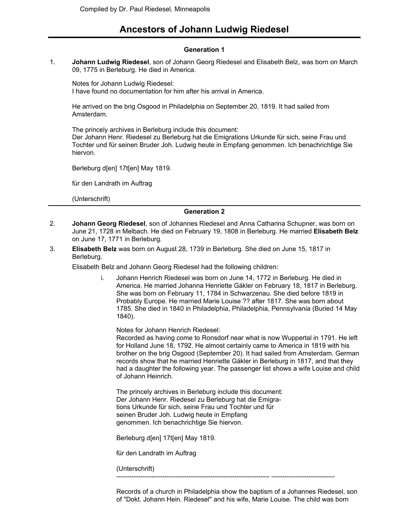# **Ancestors of Johann Ludwig Riedesel**

## **Generation 1**

**Johann Ludwig Riedesel**, son of Johann Georg Riedesel and Elisabeth Belz, was born on March 09, 1775 in Berleburg. He died in America. 1.

Notes for Johann Ludwig Riedesel: I have found no documentation for him after his arrival in America.

He arrived on the brig Osgood in Philadelphia on September 20, 1819. It had sailed from Amsterdam.

The princely archives in Berleburg include this document: Der Johann Henr. Riedesel zu Berleburg hat die Emigrations Urkunde für sich, seine Frau und Tochter und für seinen Bruder Joh. Ludwig heute in Empfang genommen. Ich benachrichtige Sie hiervon.

Berleburg d[en] 17t[en] May 1819.

für den Landrath im Auftrag

(Unterschrift)

## **Generation 2**

- **Johann Georg Riedesel**, son of Johannes Riedesel and Anna Catharina Schupner, was born on June 21, 1728 in Melbach. He died on February 19, 1808 in Berleburg. He married **Elisabeth Belz** on June 17, 1771 in Berleburg. 2.
- **Elisabeth Belz** was born on August 28, 1739 in Berleburg. She died on June 15, 1817 in Berleburg. 3.

Elisabeth Belz and Johann Georg Riedesel had the following children:

i. Johann Henrich Riedesel was born on June 14, 1772 in Berleburg. He died in America. He married Johanna Henriette Gäkler on February 18, 1817 in Berleburg. She was born on February 11, 1784 in Schwarzenau. She died before 1819 in Probably Europe. He married Marie Louise ?? after 1817. She was born about 1785. She died in 1840 in Philadelphia, Philadelphia, Pennsylvania (Buried 14 May 1840).

Notes for Johann Henrich Riedesel:

Recorded as having come to Ronsdorf near what is now Wuppertal in 1791. He left for Holland June 18, 1792. He almost certainly came to America in 1819 with his brother on the brig Osgood (September 20). It had sailed from Amsterdam. German records show that he married Henriette Gäkler in Berleburg in 1817, and that they had a daughter the following year. The passenger list shows a wife Louise and child of Johann Heinrich.

The princely archives in Berleburg include this document: Der Johann Henr. Riedesel zu Berleburg hat die Emigrations Urkunde für sich, seine Frau und Tochter und für seinen Bruder Joh. Ludwig heute in Empfang genommen. Ich benachrichtige Sie hiervon.

Berleburg d[en] 17t[en] May 1819.

für den Landrath im Auftrag

(Unterschrift)

---------------------------------------------------------------------- -----------------------------

Records of a church in Philadelphia show the baptism of a Johannes Riedesel, son of "Dokt. Johann Hein. Riedesel" and his wife, Marie Louise. The child was born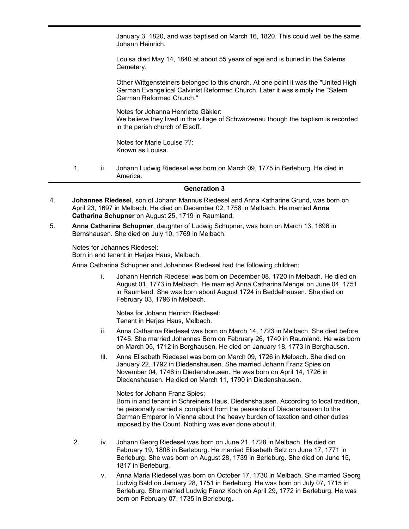January 3, 1820, and was baptised on March 16, 1820. This could well be the same Johann Heinrich.

Louisa died May 14, 1840 at about 55 years of age and is buried in the Salems Cemetery.

of "Dokt. Johann Hein. Riedesel" and his wife, Marie Louise. The child was born

Other Wittgensteiners belonged to this church. At one point it was the "United High German Evangelical Calvinist Reformed Church. Later it was simply the "Salem German Reformed Church."

Notes for Johanna Henriette Gäkler: We believe they lived in the village of Schwarzenau though the baptism is recorded in the parish church of Elsoff.

Notes for Marie Louise ??: Known as Louisa.

1. ii. Johann Ludwig Riedesel was born on March 09, 1775 in Berleburg. He died in America.

#### **Generation 3**

- **Johannes Riedesel**, son of Johann Mannus Riedesel and Anna Katharine Grund, was born on April 23, 1697 in Melbach. He died on December 02, 1758 in Melbach. He married **Anna Catharina Schupner** on August 25, 1719 in Raumland. 4.
- **Anna Catharina Schupner**, daughter of Ludwig Schupner, was born on March 13, 1696 in Bernshausen. She died on July 10, 1769 in Melbach. 5.

Notes for Johannes Riedesel: Born in and tenant in Herjes Haus, Melbach.

Anna Catharina Schupner and Johannes Riedesel had the following children:

i. Johann Henrich Riedesel was born on December 08, 1720 in Melbach. He died on August 01, 1773 in Melbach. He married Anna Catharina Mengel on June 04, 1751 in Raumland. She was born about August 1724 in Beddelhausen. She died on February 03, 1796 in Melbach.

Notes for Johann Henrich Riedesel: Tenant in Herjes Haus, Melbach.

- ii. Anna Catharina Riedesel was born on March 14, 1723 in Melbach. She died before 1745. She married Johannes Born on February 26, 1740 in Raumland. He was born on March 05, 1712 in Berghausen. He died on January 18, 1773 in Berghausen.
- iii. Anna Elisabeth Riedesel was born on March 09, 1726 in Melbach. She died on January 22, 1792 in Diedenshausen. She married Johann Franz Spies on November 04, 1746 in Diedenshausen. He was born on April 14, 1726 in Diedenshausen. He died on March 11, 1790 in Diedenshausen.

Notes for Johann Franz Spies:

Born in and tenant in Schreiners Haus, Diedenshausen. According to local tradition, he personally carried a complaint from the peasants of Diedenshausen to the German Emperor in Vienna about the heavy burden of taxation and other duties imposed by the Count. Nothing was ever done about it.

- 2. iv. Johann Georg Riedesel was born on June 21, 1728 in Melbach. He died on February 19, 1808 in Berleburg. He married Elisabeth Belz on June 17, 1771 in Berleburg. She was born on August 28, 1739 in Berleburg. She died on June 15, 1817 in Berleburg.
	- v. Anna Maria Riedesel was born on October 17, 1730 in Melbach. She married Georg Ludwig Bald on January 28, 1751 in Berleburg. He was born on July 07, 1715 in Berleburg. She married Ludwig Franz Koch on April 29, 1772 in Berleburg. He was born on February 07, 1735 in Berleburg.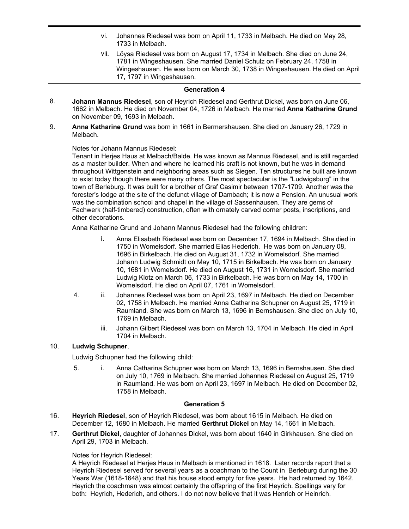- vi. Johannes Riedesel was born on April 11, 1733 in Melbach. He died on May 28, 1733 in Melbach.
- vii. Löysa Riedesel was born on August 17, 1734 in Melbach. She died on June 24, 1781 in Wingeshausen. She married Daniel Schulz on February 24, 1758 in Wingeshausen. He was born on March 30, 1738 in Wingeshausen. He died on April 17, 1797 in Wingeshausen.

#### **Generation 4**

- **Johann Mannus Riedesel**, son of Heyrich Riedesel and Gerthrut Dickel, was born on June 06, 1662 in Melbach. He died on November 04, 1726 in Melbach. He married **Anna Katharine Grund** on November 09, 1693 in Melbach. 8.
- **Anna Katharine Grund** was born in 1661 in Bermershausen. She died on January 26, 1729 in Melbach. 9.

## Notes for Johann Mannus Riedesel:

Tenant in Herjes Haus at Melbach/Balde. He was known as Mannus Riedesel, and is still regarded as a master builder. When and where he learned his craft is not known, but he was in demand throughout Wittgenstein and neighboring areas such as Siegen. Ten structures he built are known to exist today though there were many others. The most spectacular is the "Ludwigsburg" in the town of Berleburg. It was built for a brother of Graf Casimir between 1707-1709. Another was the forester's lodge at the site of the defunct village of Dambach; it is now a Pension. An unusual work was the combination school and chapel in the village of Sassenhausen. They are gems of Fachwerk (half-timbered) construction, often with ornately carved corner posts, inscriptions, and other decorations.

Anna Katharine Grund and Johann Mannus Riedesel had the following children:

- i. Anna Elisabeth Riedesel was born on December 17, 1694 in Melbach. She died in 1750 in Womelsdorf. She married Elias Hederich. He was born on January 08, 1696 in Birkelbach. He died on August 31, 1732 in Womelsdorf. She married Johann Ludwig Schmidt on May 10, 1715 in Birkelbach. He was born on January 10, 1681 in Womelsdorf. He died on August 16, 1731 in Womelsdorf. She married Ludwig Klotz on March 06, 1733 in Birkelbach. He was born on May 14, 1700 in Womelsdorf. He died on April 07, 1761 in Womelsdorf.
- 4. ii. Johannes Riedesel was born on April 23, 1697 in Melbach. He died on December 02, 1758 in Melbach. He married Anna Catharina Schupner on August 25, 1719 in Raumland. She was born on March 13, 1696 in Bernshausen. She died on July 10, 1769 in Melbach.
	- iii. Johann Gilbert Riedesel was born on March 13, 1704 in Melbach. He died in April 1704 in Melbach.

## 10. **Ludwig Schupner**.

Ludwig Schupner had the following child:

5. i. Anna Catharina Schupner was born on March 13, 1696 in Bernshausen. She died on July 10, 1769 in Melbach. She married Johannes Riedesel on August 25, 1719 in Raumland. He was born on April 23, 1697 in Melbach. He died on December 02, 1758 in Melbach.

#### **Generation 5**

- **Heyrich Riedesel**, son of Heyrich Riedesel, was born about 1615 in Melbach. He died on December 12, 1680 in Melbach. He married **Gerthrut Dickel** on May 14, 1661 in Melbach. 16.
- **Gerthrut Dickel**, daughter of Johannes Dickel, was born about 1640 in Girkhausen. She died on April 29, 1703 in Melbach. 17.

### Notes for Heyrich Riedesel:

A Heyrich Riedesel at Herjes Haus in Melbach is mentioned in 1618. Later records report that a Heyrich Riedesel served for several years as a coachman to the Count in Berleburg during the 30 Years War (1618-1648) and that his house stood empty for five years. He had returned by 1642. Heyrich the coachman was almost certainly the offspring of the first Heyrich. Spellings vary for both: Heyrich, Hederich, and others. I do not now believe that it was Henrich or Heinrich.